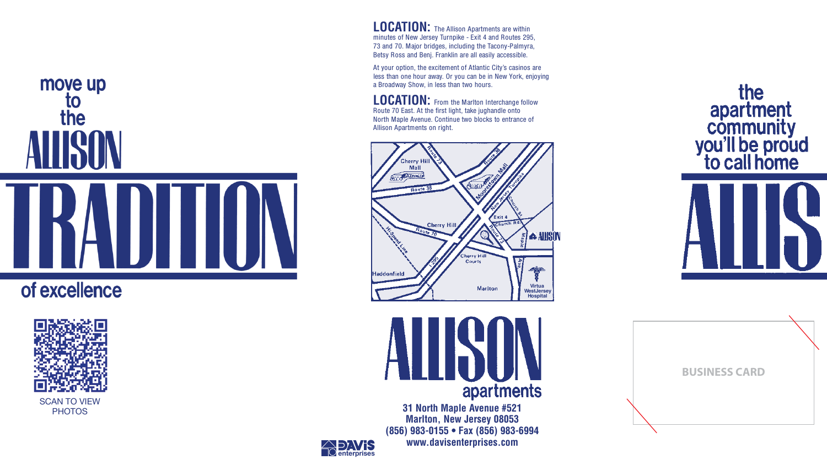# move up to the

## of excellence









**31 North Maple Avenue #521 Marlton, New Jersey 08053 (856) 983-0155 • Fax (856) 983-6994 www.davisenterprises.com**

**LOCATION:** The Allison Apartments are within minutes of New Jersey Turnpike - Exit 4 and Routes 295, 73 and 70. Major bridges, including the Tacony-Palmyra, Betsy Ross and Benj. Franklin are all easily accessible.

**LOCATION:** From the Marlton Interchange follow Route 70 East. At the first light, take jughandle onto North Maple Avenue. Continue two blocks to entrance of Allison Apartments on right.

At your option, the excitement of Atlantic City's casinos are less than one hour away. Or you can be in New York, enjoying a Broadway Show, in less than two hours.



### **BUSINESS CARD**